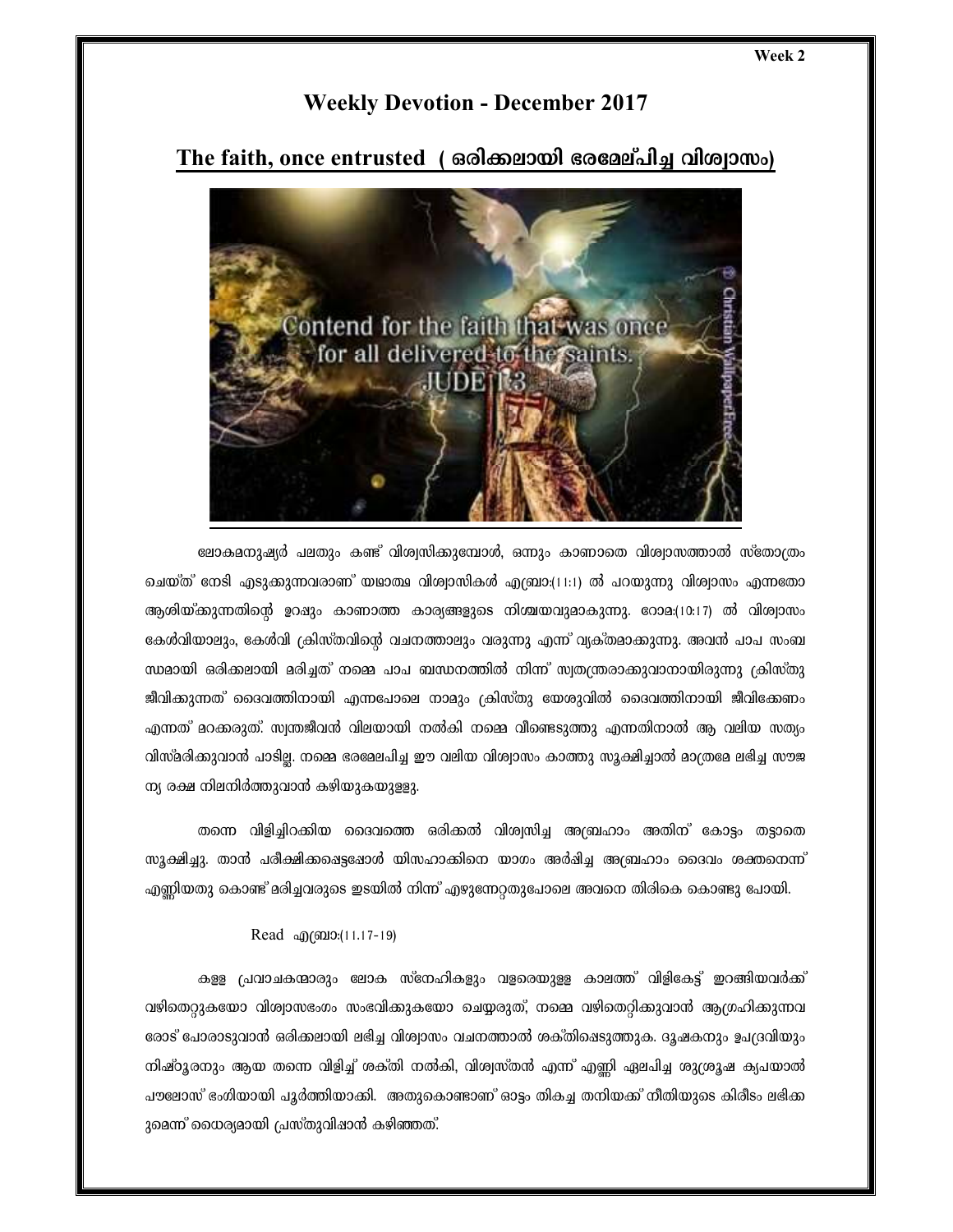## **Weekly Devotion - December 2017**

The faith, once entrusted ( ഒരിക്കലായി ഭരമേല്പിച്ച വിശ്വാസം)



ലോകമനുഷ്യർ പലതും കണ്ട് വിശ്വസിക്കുമ്പോൾ, ഒന്നും കാണാതെ വിശ്വാസത്താൽ സ്തോത്രം ചെയ്ത് നേടി എടുക്കുന്നവരാണ് യഥാത്ഥ വിശ്വാസികൾ എബ്രാ:(11:1) ൽ പറയുന്നു വിശ്വാസം എന്നതോ ആശിയ്ക്കുന്നതിന്റെ ഉറഷും കാണാത്ത കാര്യങ്ങളുടെ നിശ്ചയവുമാകുന്നു. റോമ:(10:17) ൽ വിശ്വാസം കേൾവിയാലും, കേൾവി ക്രിസ്തവിന്റെ വചനത്താലും വരുന്നു എന്ന് വ്യക്തമാക്കുന്നു. അവൻ പാപ സംബ ന്ധമായി ഒരിക്കലായി മരിച്ചത് നമ്മെ പാപ ബന്ധനത്തിൽ നിന്ന് സ്വതന്ത്രരാക്കുവാനായിരുന്നു ക്രിസ്തു ജീവിക്കുന്നത് ദൈവത്തിനായി എന്നപോലെ നാമും ക്രിസ്തു യേശുവിൽ ദൈവത്തിനായി ജീവിക്കേണം എന്നത് മറക്കരുത്. സ്വന്തജീവൻ വിലയായി നൽകി നമ്മെ വീണ്ടെടുത്തു എന്നതിനാൽ ആ വലിയ സത്യം വിസ്മരിക്കുവാൻ പാടില്ല. നമ്മെ ഭരമേലപിച്ച ഈ വലിയ വിശ്വാസം കാത്തു സൂക്ഷിച്ചാൽ മാത്രമേ ലഭിച്ച സൗജ ന്യ രക്ഷ നിലനിർത്തുവാൻ കഴിയുകയുള്ളു.

തന്നെ വിളിച്ചിറക്കിയ ദൈവത്തെ ഒരിക്കൽ വിശ്വസിച്ച അബ്രഹാം അതിന് കോട്ടം തട്ടാതെ സുക്ഷിച്ചു. താൻ പരീക്ഷിക്കപ്പെട്ടപ്പോൾ യിസഹാക്കിനെ യാഗം അർഷിച്ച അബ്രഹാം ദൈവം ശക്തനെന്ന് എണ്ണിയതു കൊണ്ട് മരിച്ചവരുടെ ഇടയിൽ നിന്ന് എഴുന്നേറ്റതുപോലെ അവനെ തിരികെ കൊണ്ടു പോയി.

## Read @@10:(11.17-19)

കളള പ്രവാചകന്മാരും ലോക സ്നേഹികളും വളരെയുളള കാലത്ത് വിളികേട്ട് ഇറങ്ങിയവർക്ക് വഴിതെറ്റുകയോ വിശ്വാസഭംഗം സംഭവിക്കുകയോ ചെയ്യരുത്, നമ്മെ വഴിതെറ്റിക്കുവാൻ ആഗ്രഹിക്കുന്നവ രോട് പോരാടുവാൻ ഒരിക്കലായി ലഭിച്ച വിശ്വാസം വചനത്താൽ ശക്തിഷെടുത്തുക. ദൃഷകനും ഉപദ്രവിയും നിഷ്ഠൂരനും ആയ തന്നെ വിളിച്ച് ശക്തി നൽകി, വിശ്വസ്തൻ എന്ന് എണ്ണി ഏലപിച്ച ശുശ്രൂഷ ക്യപയാൽ പൗലോസ് ഭംഗിയായി പൂർത്തിയാക്കി. അതുകൊണ്ടാണ് ഓട്ടം തികച്ച തനിയക്ക് നീതിയുടെ കിരീടം ലഭിക്ക ുമെന്ന് ധൈര്യമായി പ്രസ്തുവിഷാൻ കഴിഞ്ഞത്.